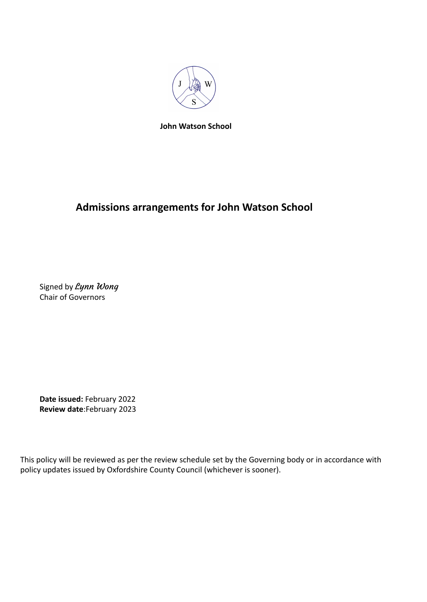

**John Watson School**

## **Admissions arrangements for John Watson School**

Signed by Lynn Wong Chair of Governors

**Date issued:** February 2022 **Review date**:February 2023

This policy will be reviewed as per the review schedule set by the Governing body or in accordance with policy updates issued by Oxfordshire County Council (whichever is sooner).